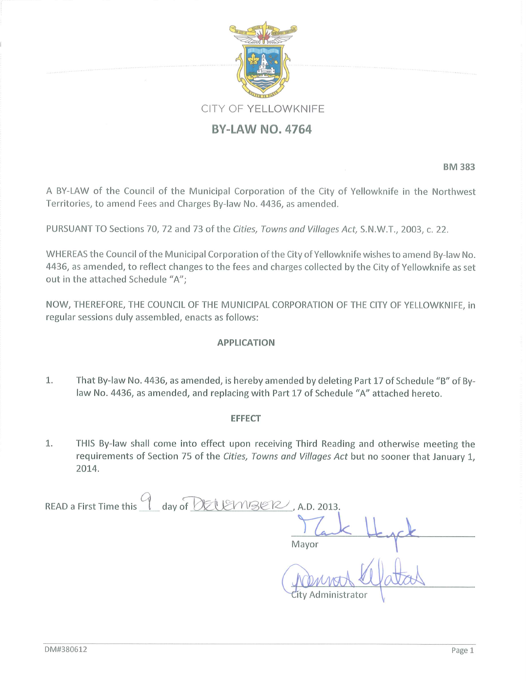

**BM383** 

A BY-LAW of the Council of the Municipal Corporation of the City of Yellowknife in the Northwest Territories, to amend Fees and Charges By-law No. 4436, as amended.

PURSUANT TO Sections 70, 72 and 73 of the Cities, Towns and Villages Act, S.N.W.T., 2003, c. 22.

WHEREAS the Council of the Municipal Corporation of the City of Yellowknife wishes to amend By-law No. 4436, as amended, to reflect changes to the fees and charges collected by the City of Yellowknife as set out in the attached Schedule "A";

NOW, THEREFORE, THE COUNCIL OF THE MUNICIPAL CORPORATION OF THE CITY OF YELLOWKNIFE, in regular sessions duly assembled, enacts as follows:

## **APPLICATION**

That By-law No. 4436, as amended, is hereby amended by deleting Part 17 of Schedule "B" of By-1. law No. 4436, as amended, and replacing with Part 17 of Schedule "A" attached hereto.

## **EFFECT**

1. THIS By-law shall come into effect upon receiving Third Reading and otherwise meeting the requirements of Section 75 of the Cities, Towns and Villages Act but no sooner that January 1, 2014.

| $\Box$ day of OEU EMBER, A.D. 2013.<br>READ a First Time this |
|---------------------------------------------------------------|
|                                                               |
| Mayor                                                         |
| City Administrator                                            |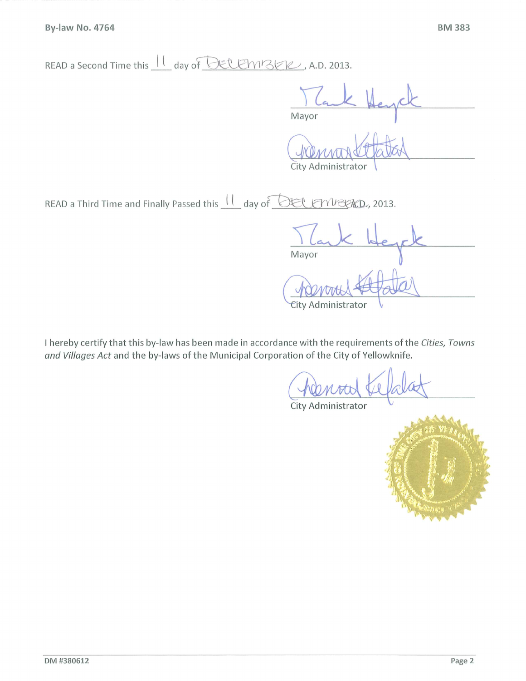READ a Second Time this  $\frac{11}{100}$  day of DECEMBER, A.D. 2013.

Mayor

City Administrator

READ a Third Time and Finally Passed this  $\frac{11}{1}$  day of **DEL ENVERD**, 2013.

Mayor City Administrator

I hereby certify that this by-law has been made in accordance with the requirements of the Cities, Towns and Villages Act and the by-laws of the Municipal Corporation of the City of Yellowknife.

City Administrator

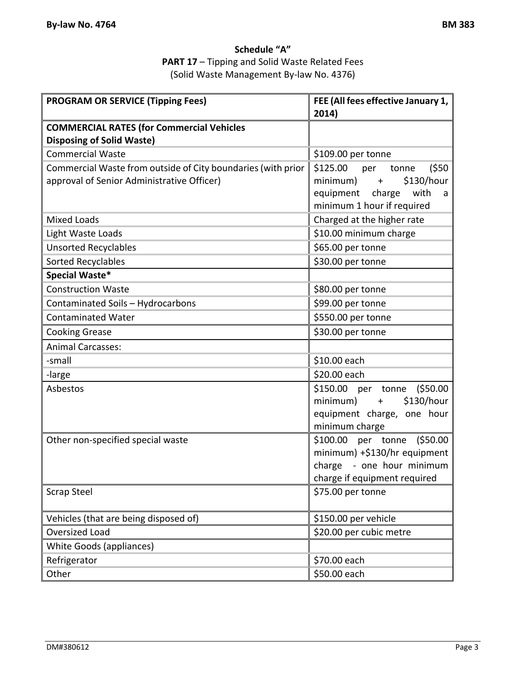## **Schedule "A" PART 17** – Tipping and Solid Waste Related Fees (Solid Waste Management By‐law No. 4376)

| <b>PROGRAM OR SERVICE (Tipping Fees)</b>                     | FEE (All fees effective January 1, |
|--------------------------------------------------------------|------------------------------------|
|                                                              | 2014)                              |
| <b>COMMERCIAL RATES (for Commercial Vehicles</b>             |                                    |
| <b>Disposing of Solid Waste)</b>                             |                                    |
| <b>Commercial Waste</b>                                      | \$109.00 per tonne                 |
| Commercial Waste from outside of City boundaries (with prior | (550)<br>\$125.00<br>per<br>tonne  |
| approval of Senior Administrative Officer)                   | \$130/hour<br>minimum)<br>$+$      |
|                                                              | equipment<br>with<br>charge<br>a   |
|                                                              | minimum 1 hour if required         |
| <b>Mixed Loads</b>                                           | Charged at the higher rate         |
| Light Waste Loads                                            | \$10.00 minimum charge             |
| <b>Unsorted Recyclables</b>                                  | \$65.00 per tonne                  |
| <b>Sorted Recyclables</b>                                    | \$30.00 per tonne                  |
| Special Waste*                                               |                                    |
| <b>Construction Waste</b>                                    | \$80.00 per tonne                  |
| Contaminated Soils - Hydrocarbons                            | \$99.00 per tonne                  |
| <b>Contaminated Water</b>                                    | \$550.00 per tonne                 |
| <b>Cooking Grease</b>                                        | \$30.00 per tonne                  |
| <b>Animal Carcasses:</b>                                     |                                    |
| -small                                                       | \$10.00 each                       |
| -large                                                       | \$20.00 each                       |
| Asbestos                                                     | \$150.00 per tonne (\$50.00        |
|                                                              | \$130/hour<br>minimum)<br>$+$      |
|                                                              | equipment charge, one hour         |
|                                                              | minimum charge                     |
| Other non-specified special waste                            | \$100.00 per tonne (\$50.00        |
|                                                              | minimum) +\$130/hr equipment       |
|                                                              | charge - one hour minimum          |
|                                                              | charge if equipment required       |
| <b>Scrap Steel</b>                                           | \$75.00 per tonne                  |
| Vehicles (that are being disposed of)                        | \$150.00 per vehicle               |
| Oversized Load                                               | \$20.00 per cubic metre            |
| White Goods (appliances)                                     |                                    |
| Refrigerator                                                 | \$70.00 each                       |
| Other                                                        | \$50.00 each                       |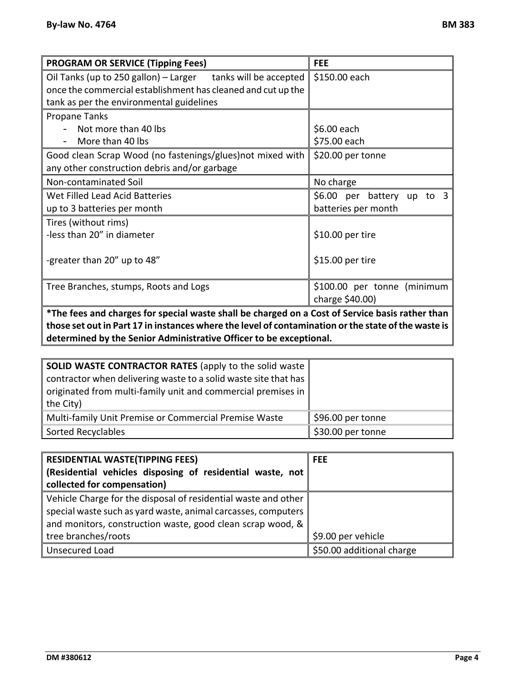| <b>PROGRAM OR SERVICE (Tipping Fees)</b>                                                        | <b>FEE</b>                  |
|-------------------------------------------------------------------------------------------------|-----------------------------|
| Oil Tanks (up to 250 gallon) - Larger tanks will be accepted                                    | \$150.00 each               |
| once the commercial establishment has cleaned and cut up the                                    |                             |
| tank as per the environmental guidelines                                                        |                             |
| Propane Tanks                                                                                   |                             |
| Not more than 40 lbs                                                                            | \$6.00 each                 |
| More than 40 lbs                                                                                | \$75.00 each                |
| Good clean Scrap Wood (no fastenings/glues) not mixed with                                      | \$20.00 per tonne           |
| any other construction debris and/or garbage                                                    |                             |
| Non-contaminated Soil                                                                           | No charge                   |
| Wet Filled Lead Acid Batteries                                                                  | \$6.00 per battery up to 3  |
| up to 3 batteries per month                                                                     | batteries per month         |
| Tires (without rims)                                                                            |                             |
| -less than 20" in diameter                                                                      | \$10.00 per tire            |
|                                                                                                 |                             |
| -greater than 20" up to 48"                                                                     | \$15.00 per tire            |
|                                                                                                 |                             |
| Tree Branches, stumps, Roots and Logs                                                           | \$100.00 per tonne (minimum |
|                                                                                                 | charge \$40.00)             |
| *The fees and charges for special waste shall be charged on a Cost of Service basis rather than |                             |

**\*The fees and charges for special waste shall be charged on a Cost of Service basis rather than those set outin Part 17 in instances where the level of contamination orthe state ofthe waste is determined by the Senior Administrative Officer to be exceptional.** 

| <b>SOLID WASTE CONTRACTOR RATES (apply to the solid waste)</b>  |                   |
|-----------------------------------------------------------------|-------------------|
| contractor when delivering waste to a solid waste site that has |                   |
| originated from multi-family unit and commercial premises in    |                   |
| the City)                                                       |                   |
| Multi-family Unit Premise or Commercial Premise Waste           | \$96.00 per tonne |
| Sorted Recyclables                                              | \$30.00 per tonne |

| <b>RESIDENTIAL WASTE(TIPPING FEES)</b>                         | <b>FEE</b>                |
|----------------------------------------------------------------|---------------------------|
| Residential vehicles disposing of residential waste, not       |                           |
| collected for compensation)                                    |                           |
| Vehicle Charge for the disposal of residential waste and other |                           |
| special waste such as yard waste, animal carcasses, computers  |                           |
| and monitors, construction waste, good clean scrap wood, &     |                           |
| tree branches/roots                                            | \$9.00 per vehicle        |
| Unsecured Load                                                 | \$50.00 additional charge |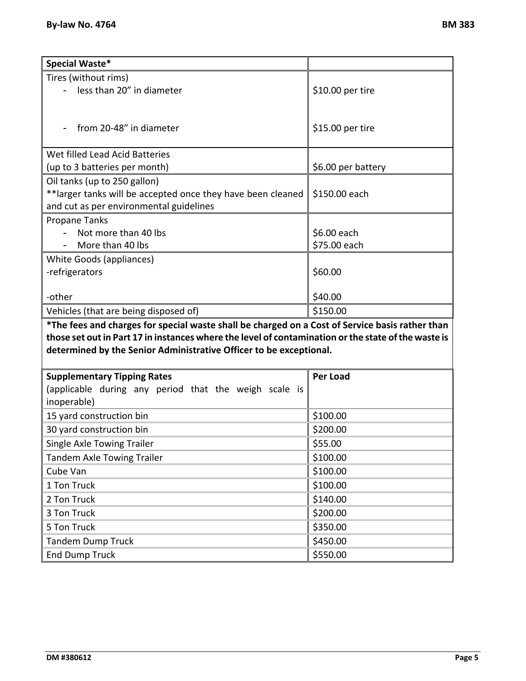| Special Waste*                                                                                      |                    |
|-----------------------------------------------------------------------------------------------------|--------------------|
| Tires (without rims)                                                                                |                    |
| less than 20" in diameter                                                                           | \$10.00 per tire   |
|                                                                                                     |                    |
|                                                                                                     |                    |
| from 20-48" in diameter                                                                             | \$15.00 per tire   |
|                                                                                                     |                    |
| Wet filled Lead Acid Batteries                                                                      |                    |
| (up to 3 batteries per month)                                                                       | \$6.00 per battery |
| Oil tanks (up to 250 gallon)<br>**larger tanks will be accepted once they have been cleaned         | \$150.00 each      |
| and cut as per environmental guidelines                                                             |                    |
| <b>Propane Tanks</b>                                                                                |                    |
| Not more than 40 lbs                                                                                | \$6.00 each        |
| More than 40 lbs                                                                                    | \$75.00 each       |
| White Goods (appliances)                                                                            |                    |
| -refrigerators                                                                                      | \$60.00            |
|                                                                                                     |                    |
| -other                                                                                              | \$40.00            |
| Vehicles (that are being disposed of)                                                               | \$150.00           |
| *The fees and charges for special waste shall be charged on a Cost of Service basis rather than     |                    |
| those set out in Part 17 in instances where the level of contamination or the state of the waste is |                    |
| determined by the Senior Administrative Officer to be exceptional.                                  |                    |
|                                                                                                     |                    |
| <b>Supplementary Tipping Rates</b>                                                                  | <b>Per Load</b>    |
| (applicable during any period that the weigh scale is                                               |                    |
| inoperable)                                                                                         |                    |
| 15 yard construction bin                                                                            | \$100.00           |
| 30 yard construction bin                                                                            | \$200.00           |
| Single Axle Towing Trailer                                                                          | \$55.00            |
| <b>Tandem Axle Towing Trailer</b>                                                                   | \$100.00           |
| Cube Van                                                                                            | \$100.00           |
| 1 Ton Truck                                                                                         | \$100.00           |
| 2 Ton Truck                                                                                         | \$140.00           |
| 3 Ton Truck                                                                                         | \$200.00           |
| 5 Ton Truck                                                                                         | \$350.00           |
| <b>Tandem Dump Truck</b>                                                                            | \$450.00           |
| <b>End Dump Truck</b>                                                                               | \$550.00           |